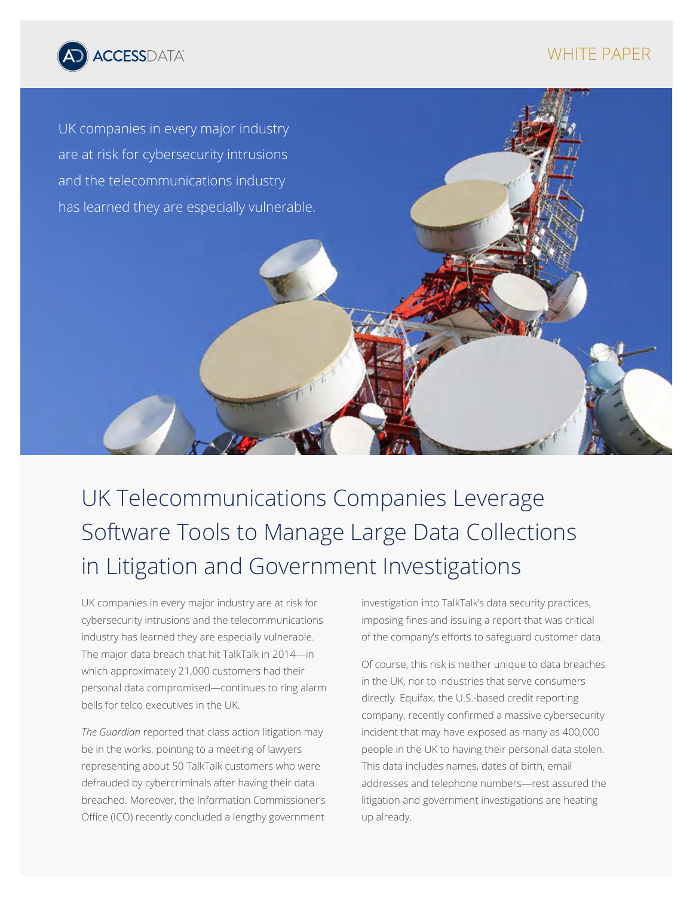

# WHITE PAPER



UK Telecommunications Companies Leverage Software Tools to Manage Large Data Collections in Litigation and Government Investigations

UK companies in every major industry are at risk for cybersecurity intrusions and the telecommunications industry has learned they are especially vulnerable. The major data breach that hit TalkTalk in 2014—in which approximately 21,000 customers had their personal data compromised—continues to ring alarm bells for telco executives in the UK.

*The Guardian* reported that class action litigation may be in the works, pointing to a meeting of lawyers representing about 50 TalkTalk customers who were defrauded by cybercriminals after having their data breached. Moreover, the Information Commissioner's Office (ICO) recently concluded a lengthy government investigation into TalkTalk's data security practices, imposing fines and issuing a report that was critical of the company's efforts to safeguard customer data.

Of course, this risk is neither unique to data breaches in the UK, nor to industries that serve consumers directly. Equifax, the U.S.-based credit reporting company, recently confirmed a massive cybersecurity incident that may have exposed as many as 400,000 people in the UK to having their personal data stolen. This data includes names, dates of birth, email addresses and telephone numbers—rest assured the litigation and government investigations are heating up already.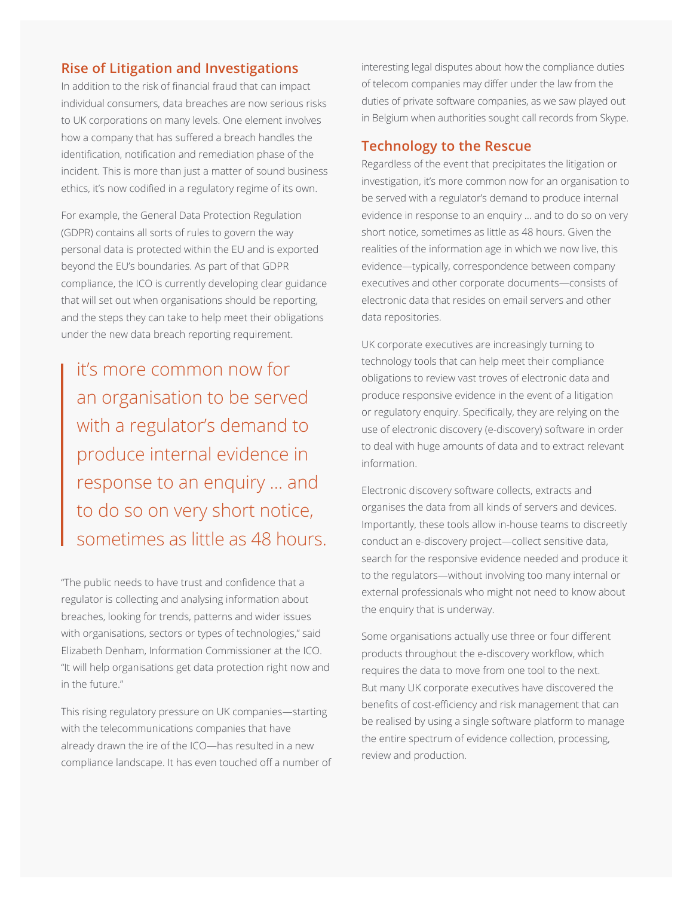# **Rise of Litigation and Investigations**

In addition to the risk of financial fraud that can impact individual consumers, data breaches are now serious risks to UK corporations on many levels. One element involves how a company that has suffered a breach handles the identification, notification and remediation phase of the incident. This is more than just a matter of sound business ethics, it's now codified in a regulatory regime of its own.

For example, the General Data Protection Regulation (GDPR) contains all sorts of rules to govern the way personal data is protected within the EU and is exported beyond the EU's boundaries. As part of that GDPR compliance, the ICO is currently developing clear guidance that will set out when organisations should be reporting, and the steps they can take to help meet their obligations under the new data breach reporting requirement.

it's more common now for an organisation to be served with a regulator's demand to produce internal evidence in response to an enquiry … and to do so on very short notice, sometimes as little as 48 hours.

"The public needs to have trust and confidence that a regulator is collecting and analysing information about breaches, looking for trends, patterns and wider issues with organisations, sectors or types of technologies," said Elizabeth Denham, Information Commissioner at the ICO. "It will help organisations get data protection right now and in the future."

This rising regulatory pressure on UK companies—starting with the telecommunications companies that have already drawn the ire of the ICO—has resulted in a new compliance landscape. It has even touched off a number of interesting legal disputes about how the compliance duties of telecom companies may differ under the law from the duties of private software companies, as we saw played out in Belgium when authorities sought call records from Skype.

## **Technology to the Rescue**

Regardless of the event that precipitates the litigation or investigation, it's more common now for an organisation to be served with a regulator's demand to produce internal evidence in response to an enquiry … and to do so on very short notice, sometimes as little as 48 hours. Given the realities of the information age in which we now live, this evidence—typically, correspondence between company executives and other corporate documents—consists of electronic data that resides on email servers and other data repositories.

UK corporate executives are increasingly turning to technology tools that can help meet their compliance obligations to review vast troves of electronic data and produce responsive evidence in the event of a litigation or regulatory enquiry. Specifically, they are relying on the use of electronic discovery (e-discovery) software in order to deal with huge amounts of data and to extract relevant information.

Electronic discovery software collects, extracts and organises the data from all kinds of servers and devices. Importantly, these tools allow in-house teams to discreetly conduct an e-discovery project—collect sensitive data, search for the responsive evidence needed and produce it to the regulators—without involving too many internal or external professionals who might not need to know about the enquiry that is underway.

Some organisations actually use three or four different products throughout the e-discovery workflow, which requires the data to move from one tool to the next. But many UK corporate executives have discovered the benefits of cost-efficiency and risk management that can be realised by using a single software platform to manage the entire spectrum of evidence collection, processing, review and production.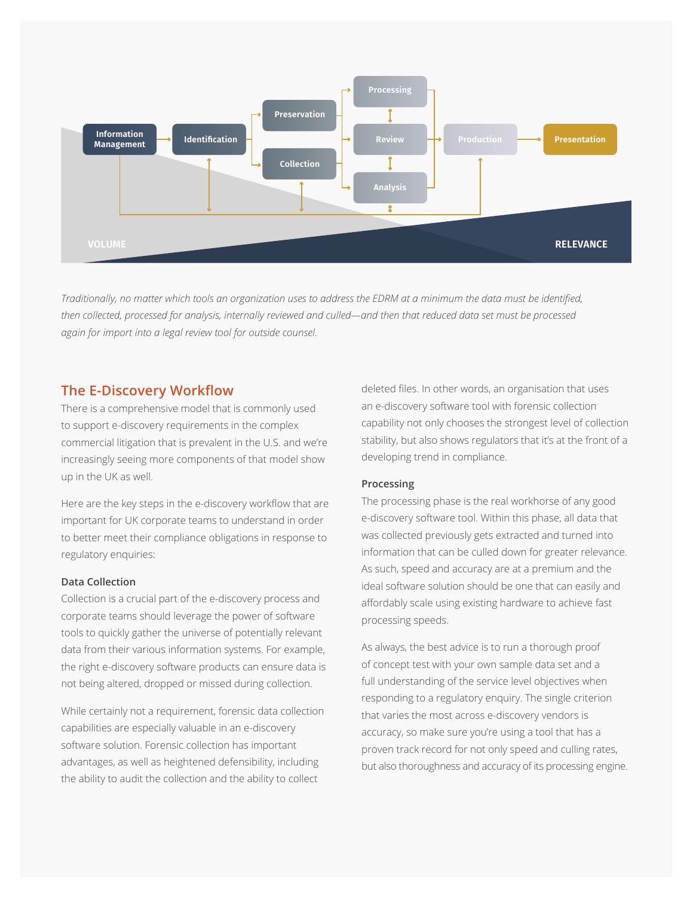

*Traditionally, no matter which tools an organization uses to address the EDRM at a minimum the data must be identified, then collected, processed for analysis, internally reviewed and culled—and then that reduced data set must be processed again for import into a legal review tool for outside counsel.*

### **The E-Discovery Workflow**

There is a comprehensive model that is commonly used to support e-discovery requirements in the complex commercial litigation that is prevalent in the U.S. and we're increasingly seeing more components of that model show up in the UK as well.

Here are the key steps in the e-discovery workflow that are important for UK corporate teams to understand in order to better meet their compliance obligations in response to regulatory enquiries:

### **Data Collection**

Collection is a crucial part of the e-discovery process and corporate teams should leverage the power of software tools to quickly gather the universe of potentially relevant data from their various information systems. For example, the right e-discovery software products can ensure data is not being altered, dropped or missed during collection.

While certainly not a requirement, forensic data collection capabilities are especially valuable in an e-discovery software solution. Forensic collection has important advantages, as well as heightened defensibility, including the ability to audit the collection and the ability to collect

deleted files. In other words, an organisation that uses an e-discovery software tool with forensic collection capability not only chooses the strongest level of collection stability, but also shows regulators that it's at the front of a developing trend in compliance.

### **Processing**

The processing phase is the real workhorse of any good e-discovery software tool. Within this phase, all data that was collected previously gets extracted and turned into information that can be culled down for greater relevance. As such, speed and accuracy are at a premium and the ideal software solution should be one that can easily and affordably scale using existing hardware to achieve fast processing speeds.

As always, the best advice is to run a thorough proof of concept test with your own sample data set and a full understanding of the service level objectives when responding to a regulatory enquiry. The single criterion that varies the most across e-discovery vendors is accuracy, so make sure you're using a tool that has a proven track record for not only speed and culling rates, but also thoroughness and accuracy of its processing engine.